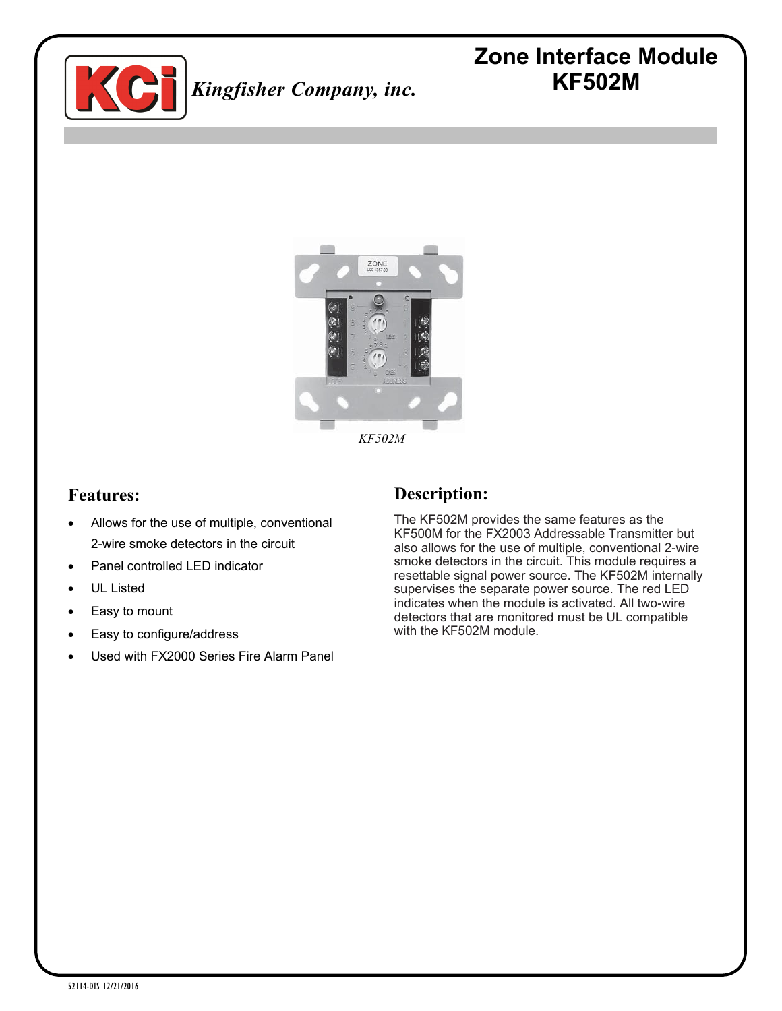

# **Zone Interface Module KF502M**



*KF502M*

#### **Features:**

- Allows for the use of multiple, conventional 2-wire smoke detectors in the circuit
- Panel controlled LED indicator
- UL Listed
- Easy to mount
- Easy to configure/address
- Used with FX2000 Series Fire Alarm Panel

## **Description:**

The KF502M provides the same features as the KF500M for the FX2003 Addressable Transmitter but also allows for the use of multiple, conventional 2-wire smoke detectors in the circuit. This module requires a resettable signal power source. The KF502M internally supervises the separate power source. The red LED indicates when the module is activated. All two-wire detectors that are monitored must be UL compatible with the KF502M module.